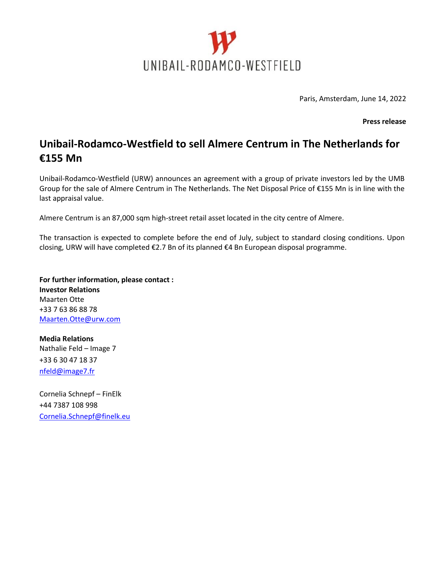

Paris, Amsterdam, June 14, 2022

**Press release**

## **Unibail-Rodamco-Westfield to sell Almere Centrum in The Netherlands for €155 Mn**

Unibail-Rodamco-Westfield (URW) announces an agreement with a group of private investors led by the UMB Group for the sale of Almere Centrum in The Netherlands. The Net Disposal Price of €155 Mn is in line with the last appraisal value.

Almere Centrum is an 87,000 sqm high-street retail asset located in the city centre of Almere.

The transaction is expected to complete before the end of July, subject to standard closing conditions. Upon closing, URW will have completed €2.7 Bn of its planned €4 Bn European disposal programme.

**For further information, please contact : Investor Relations** Maarten Otte +33 7 63 86 88 78 [Maarten.Otte@urw.com](mailto:Maarten.Otte@urw.com)

**Media Relations** Nathalie Feld – Image 7 +33 6 30 47 18 37 [nfeld@image7.fr](mailto:nfeld@image7.fr)

Cornelia Schnepf – FinElk +44 7387 108 998 Cornelia.Schnepf@finelk.eu